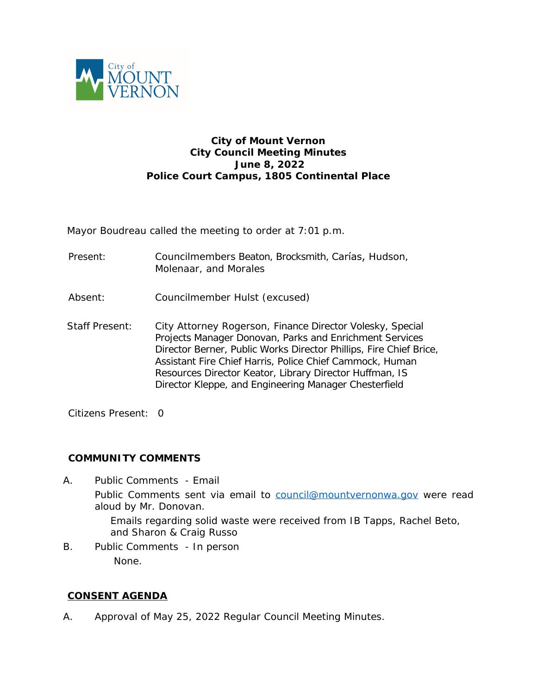

# **City of Mount Vernon City Council Meeting Minutes June 8, 2022 Police Court Campus, 1805 Continental Place**

Mayor Boudreau called the meeting to order at 7:01 p.m.

- Present: Councilmembers Beaton, Brocksmith, Carías, Hudson, Molenaar, and Morales
- Absent: Councilmember Hulst (excused)
- Staff Present: City Attorney Rogerson, Finance Director Volesky, Special Projects Manager Donovan, Parks and Enrichment Services Director Berner, Public Works Director Phillips, Fire Chief Brice, Assistant Fire Chief Harris, Police Chief Cammock, Human Resources Director Keator, Library Director Huffman, IS Director Kleppe, and Engineering Manager Chesterfield

Citizens Present: 0

#### **COMMUNITY COMMENTS**

- A. Public Comments Email Public Comments sent via email to [council@mountvernonwa.gov](mailto:council@mountvernonwa.gov) were read aloud by Mr. Donovan. Emails regarding solid waste were received from IB Tapps, Rachel Beto, and Sharon & Craig Russo
- B. Public Comments In person None.

# **CONSENT AGENDA**

A. Approval of May 25, 2022 Regular Council Meeting Minutes.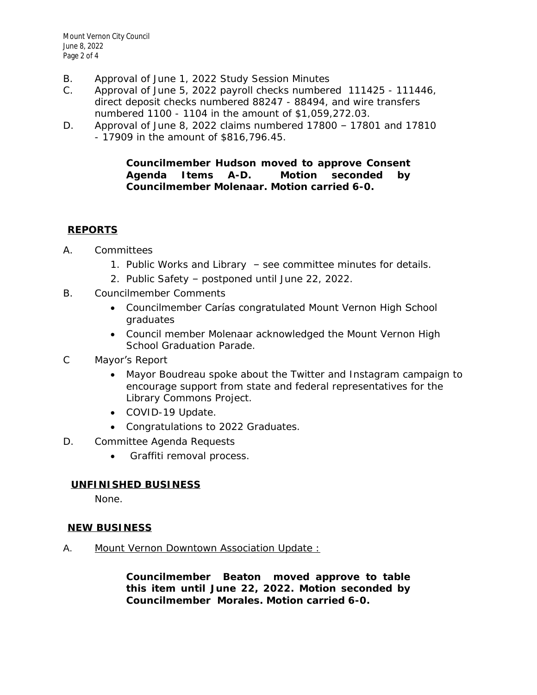- B. Approval of June 1, 2022 Study Session Minutes
- C. Approval of June 5, 2022 payroll checks numbered 111425 111446, direct deposit checks numbered 88247 - 88494, and wire transfers numbered 1100 - 1104 in the amount of \$1,059,272.03.
- D. Approval of June 8, 2022 claims numbered 17800 17801 and 17810 - 17909 in the amount of \$816,796.45.

### **Councilmember Hudson moved to approve Consent Agenda Items A-D. Motion seconded by Councilmember Molenaar. Motion carried 6-0.**

# **REPORTS**

- A. Committees
	- 1. Public Works and Library see committee minutes for details.
	- 2. Public Safety postponed until June 22, 2022.
- B. Councilmember Comments
	- Councilmember Carías congratulated Mount Vernon High School graduates
	- Council member Molenaar acknowledged the Mount Vernon High School Graduation Parade.
- C Mayor's Report
	- Mayor Boudreau spoke about the Twitter and Instagram campaign to encourage support from state and federal representatives for the Library Commons Project.
	- COVID-19 Update.
	- Congratulations to 2022 Graduates.
- D. Committee Agenda Requests
	- Graffiti removal process.

# **UNFINISHED BUSINESS**

None.

# **NEW BUSINESS**

A. Mount Vernon Downtown Association Update :

**Councilmember Beaton moved approve to table this item until June 22, 2022. Motion seconded by Councilmember Morales. Motion carried 6-0.**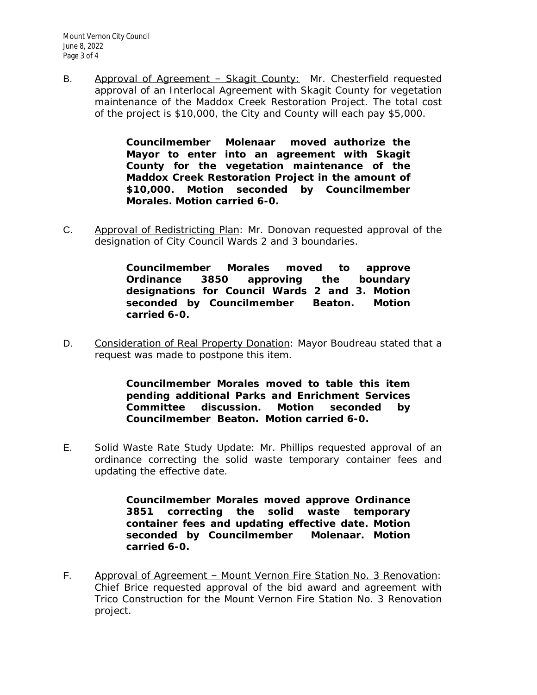B. Approval of Agreement - Skagit County: Mr. Chesterfield requested approval of an Interlocal Agreement with Skagit County for vegetation maintenance of the Maddox Creek Restoration Project. The total cost of the project is \$10,000, the City and County will each pay \$5,000.

> **Councilmember Molenaar moved authorize the Mayor to enter into an agreement with Skagit County for the vegetation maintenance of the Maddox Creek Restoration Project in the amount of \$10,000. Motion seconded by Councilmember Morales. Motion carried 6-0.**

C. Approval of Redistricting Plan: Mr. Donovan requested approval of the designation of City Council Wards 2 and 3 boundaries.

> **Councilmember Morales moved to approve Ordinance 3850 approving the boundary designations for Council Wards 2 and 3. Motion seconded by Councilmember Beaton. Motion carried 6-0.**

D. Consideration of Real Property Donation: Mayor Boudreau stated that a request was made to postpone this item.

> **Councilmember Morales moved to table this item pending additional Parks and Enrichment Services Committee discussion. Motion seconded by Councilmember Beaton. Motion carried 6-0.**

E. Solid Waste Rate Study Update: Mr. Phillips requested approval of an ordinance correcting the solid waste temporary container fees and updating the effective date.

> **Councilmember Morales moved approve Ordinance 3851 correcting the solid waste temporary container fees and updating effective date. Motion seconded by Councilmember Molenaar. Motion carried 6-0.**

F. Approval of Agreement – Mount Vernon Fire Station No. 3 Renovation: Chief Brice requested approval of the bid award and agreement with Trico Construction for the Mount Vernon Fire Station No. 3 Renovation project.